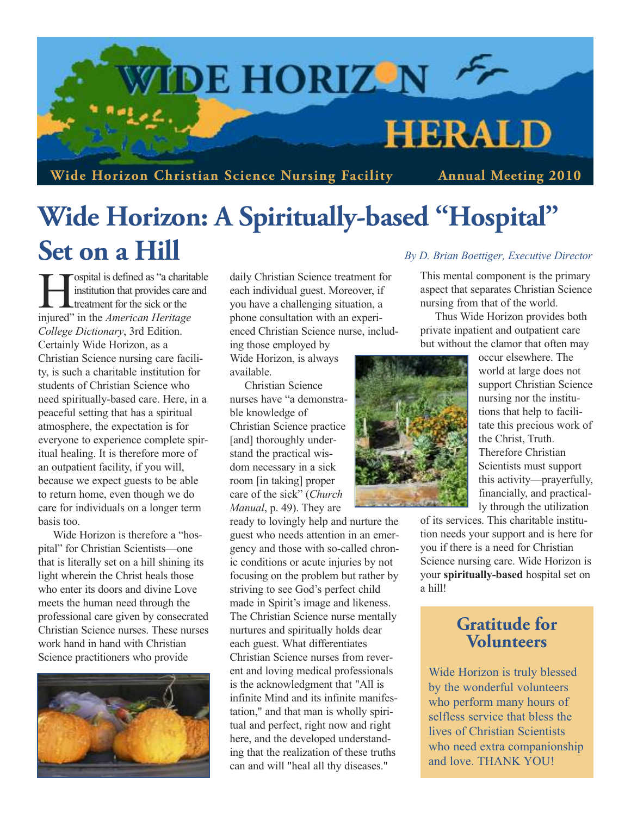

# **Wide Horizon: A Spiritually-based "Hospital" Set on a Hill** *By D. Brian Boettiger, Executive Director*

-ospital is defined as "a charitable" institution that provides care and treatment for the sick or the injured" in the *American Heritage College Dictionary*, 3rd Edition. Certainly Wide Horizon, as a Christian Science nursing care facility, is such a charitable institution for students of Christian Science who need spiritually-based care. Here, in a peaceful setting that has a spiritual atmosphere, the expectation is for everyone to experience complete spiritual healing. It is therefore more of an outpatient facility, if you will, because we expect guests to be able to return home, even though we do care for individuals on a longer term basis too.

Wide Horizon is therefore a "hospital" for Christian Scientists—one that is literally set on a hill shining its light wherein the Christ heals those who enter its doors and divine Love meets the human need through the professional care given by consecrated Christian Science nurses. These nurses work hand in hand with Christian Science practitioners who provide



daily Christian Science treatment for each individual guest. Moreover, if you have a challenging situation, a phone consultation with an experienced Christian Science nurse, includ-

ing those employed by Wide Horizon, is always available.

Christian Science nurses have "a demonstrable knowledge of Christian Science practice [and] thoroughly understand the practical wisdom necessary in a sick room [in taking] proper care of the sick" (*Church Manual*, p. 49). They are

ready to lovingly help and nurture the guest who needs attention in an emergency and those with so-called chronic conditions or acute injuries by not focusing on the problem but rather by striving to see God's perfect child made in Spirit's image and likeness. The Christian Science nurse mentally nurtures and spiritually holds dear each guest. What differentiates Christian Science nurses from reverent and loving medical professionals is the acknowledgment that "All is infinite Mind and its infinite manifestation," and that man is wholly spiritual and perfect, right now and right here, and the developed understanding that the realization of these truths can and will "heal all thy diseases."

This mental component is the primary aspect that separates Christian Science nursing from that of the world.

Thus Wide Horizon provides both private inpatient and outpatient care but without the clamor that often may



occur elsewhere. The world at large does not support Christian Science nursing nor the institutions that help to facilitate this precious work of the Christ, Truth. Therefore Christian Scientists must support this activity—prayerfully, financially, and practically through the utilization

of its services. This charitable institution needs your support and is here for you if there is a need for Christian Science nursing care. Wide Horizon is your **spiritually-based** hospital set on a hill!

## **Gratitude for Volunteers**

Wide Horizon is truly blessed by the wonderful volunteers who perform many hours of selfless service that bless the lives of Christian Scientists who need extra companionship and love. THANK YOU!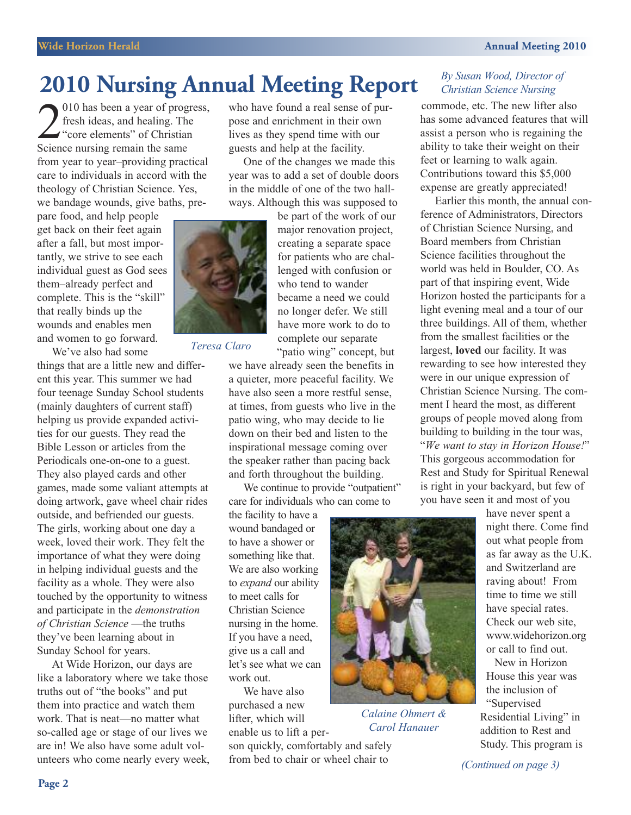# **2010 Nursing Annual Meeting Report** *By Susan Wood, Director of*

2010 has been a year of prog<br>fresh ideas, and healing. The<br>"core elements" of Christia<br>Science nursing remain the same 010 has been a year of progress, fresh ideas, and healing. The  $\rightarrow$  "core elements" of Christian from year to year–providing practical care to individuals in accord with the theology of Christian Science. Yes, we bandage wounds, give baths, pre-

pare food, and help people get back on their feet again after a fall, but most importantly, we strive to see each individual guest as God sees them–already perfect and complete. This is the "skill" that really binds up the wounds and enables men and women to go forward. We've also had some

things that are a little new and different this year. This summer we had four teenage Sunday School students (mainly daughters of current staff) helping us provide expanded activities for our guests. They read the Bible Lesson or articles from the Periodicals one-on-one to a guest. They also played cards and other games, made some valiant attempts at doing artwork, gave wheel chair rides outside, and befriended our guests. The girls, working about one day a week, loved their work. They felt the importance of what they were doing in helping individual guests and the facility as a whole. They were also touched by the opportunity to witness and participate in the *demonstration of Christian Science* —the truths they've been learning about in Sunday School for years.

At Wide Horizon, our days are like a laboratory where we take those truths out of "the books" and put them into practice and watch them work. That is neat—no matter what so-called age or stage of our lives we are in! We also have some adult volunteers who come nearly every week, who have found a real sense of purpose and enrichment in their own lives as they spend time with our guests and help at the facility.

One of the changes we made this year was to add a set of double doors in the middle of one of the two hallways. Although this was supposed to



*Teresa Claro*

have more work to do to complete our separate "patio wing" concept, but we have already seen the benefits in a quieter, more peaceful facility. We have also seen a more restful sense, at times, from guests who live in the patio wing, who may decide to lie down on their bed and listen to the inspirational message coming over the speaker rather than pacing back and forth throughout the building.

We continue to provide "outpatient" care for individuals who can come to

the facility to have a wound bandaged or to have a shower or something like that. We are also working to *expand* our ability to meet calls for Christian Science nursing in the home. If you have a need, give us a call and let's see what we can work out.

We have also purchased a new lifter, which will enable us to lift a per-

son quickly, comfortably and safely from bed to chair or wheel chair to

## *Christian Science Nursing*

commode, etc. The new lifter also has some advanced features that will assist a person who is regaining the ability to take their weight on their feet or learning to walk again. Contributions toward this \$5,000 expense are greatly appreciated!

Earlier this month, the annual conference of Administrators, Directors of Christian Science Nursing, and Board members from Christian Science facilities throughout the world was held in Boulder, CO. As part of that inspiring event, Wide Horizon hosted the participants for a light evening meal and a tour of our three buildings. All of them, whether from the smallest facilities or the largest, **loved** our facility. It was rewarding to see how interested they were in our unique expression of Christian Science Nursing. The comment I heard the most, as different groups of people moved along from building to building in the tour was, "*We want to stay in Horizon House!*" This gorgeous accommodation for Rest and Study for Spiritual Renewal is right in your backyard, but few of you have seen it and most of you



*Calaine Ohmert & Carol Hanauer*

have never spent a night there. Come find out what people from as far away as the U.K. and Switzerland are raving about! From time to time we still have special rates. Check our web site, <www.widehorizon.org> or call to find out.

New in Horizon House this year was the inclusion of "Supervised Residential Living" in addition to Rest and Study. This program is

*(Continued on page 3)*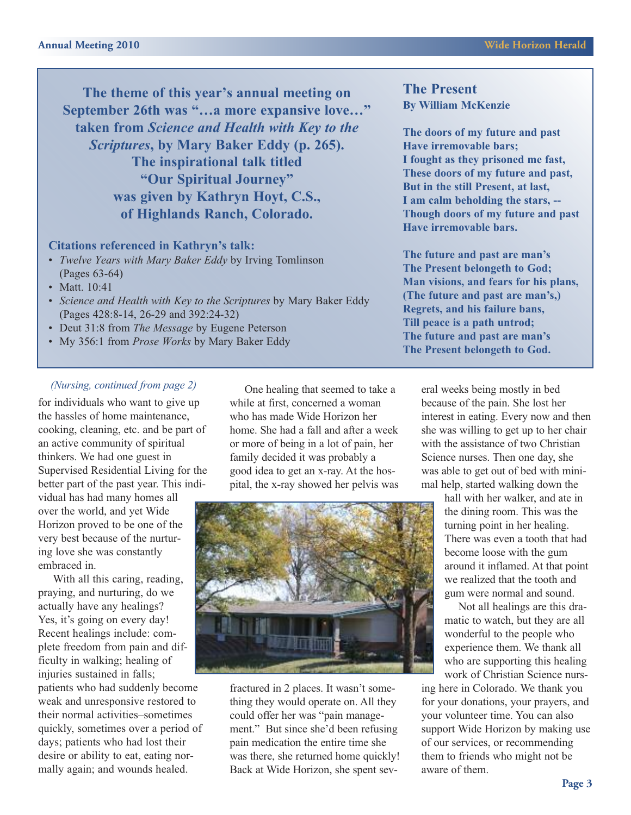**The theme of this year's annual meeting on September 26th was "…a more expansive love…" taken from** *Science and Health with Key to the Scriptures***, by Mary Baker Eddy (p. 265). The inspirational talk titled "Our Spiritual Journey" was given by Kathryn Hoyt, C.S., of Highlands Ranch, Colorado.**

### **Citations referenced in Kathryn's talk:**

- *• Twelve Years with Mary Baker Eddy* by Irving Tomlinson (Pages 63-64)
- Matt. 10:41
- *• Science and Health with Key to the Scriptures* by Mary Baker Eddy (Pages 428:8-14, 26-29 and 392:24-32)
- Deut 31:8 from *The Message* by Eugene Peterson
- My 356:1 from *Prose Works* by Mary Baker Eddy

for individuals who want to give up the hassles of home maintenance, cooking, cleaning, etc. and be part of an active community of spiritual thinkers. We had one guest in Supervised Residential Living for the better part of the past year. This indi-

vidual has had many homes all over the world, and yet Wide Horizon proved to be one of the very best because of the nurturing love she was constantly embraced in.

With all this caring, reading, praying, and nurturing, do we actually have any healings? Yes, it's going on every day! Recent healings include: complete freedom from pain and difficulty in walking; healing of injuries sustained in falls; patients who had suddenly become weak and unresponsive restored to their normal activities–sometimes quickly, sometimes over a period of days; patients who had lost their desire or ability to eat, eating normally again; and wounds healed.

*(Nursing, continued from page 2)* One healing that seemed to take a while at first, concerned a woman who has made Wide Horizon her home. She had a fall and after a week or more of being in a lot of pain, her family decided it was probably a good idea to get an x-ray. At the hospital, the x-ray showed her pelvis was



fractured in 2 places. It wasn't something they would operate on. All they could offer her was "pain management." But since she'd been refusing pain medication the entire time she was there, she returned home quickly! Back at Wide Horizon, she spent sev-

**The Present By William McKenzie**

**The doors of my future and past Have irremovable bars; I fought as they prisoned me fast, These doors of my future and past, But in the still Present, at last, I am calm beholding the stars, -- Though doors of my future and past Have irremovable bars.**

**The future and past are man's The Present belongeth to God; Man visions, and fears for his plans, (The future and past are man's,) Regrets, and his failure bans, Till peace is a path untrod; The future and past are man's The Present belongeth to God.**

> eral weeks being mostly in bed because of the pain. She lost her interest in eating. Every now and then she was willing to get up to her chair with the assistance of two Christian Science nurses. Then one day, she was able to get out of bed with minimal help, started walking down the

> > hall with her walker, and ate in the dining room. This was the turning point in her healing. There was even a tooth that had become loose with the gum around it inflamed. At that point we realized that the tooth and gum were normal and sound.

Not all healings are this dramatic to watch, but they are all wonderful to the people who experience them. We thank all who are supporting this healing work of Christian Science nurs-

ing here in Colorado. We thank you for your donations, your prayers, and your volunteer time. You can also support Wide Horizon by making use of our services, or recommending them to friends who might not be aware of them.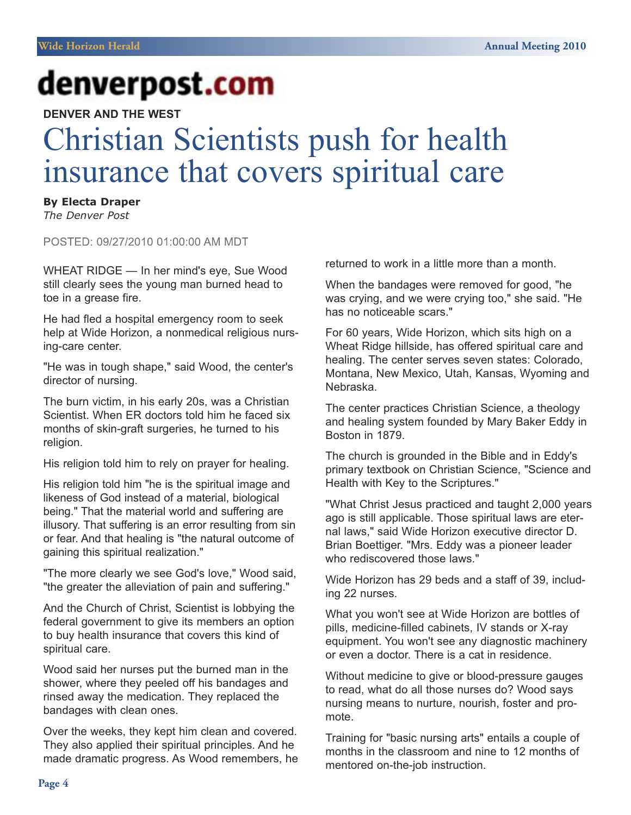# denverpost.com

**DENVER AND THE WEST**

# Christian Scientists push for health insurance that covers spiritual care

**By Electa Draper**

*The Denver Post*

POSTED: 09/27/2010 01:00:00 AM MDT

WHEAT RIDGE — In her mind's eye, Sue Wood still clearly sees the young man burned head to toe in a grease fire.

He had fled a hospital emergency room to seek help at Wide Horizon, a nonmedical religious nursing-care center.

"He was in tough shape," said Wood, the center's director of nursing.

The burn victim, in his early 20s, was a Christian Scientist. When ER doctors told him he faced six months of skin-graft surgeries, he turned to his religion.

His religion told him to rely on prayer for healing.

His religion told him "he is the spiritual image and likeness of God instead of a material, biological being." That the material world and suffering are illusory. That suffering is an error resulting from sin or fear. And that healing is "the natural outcome of gaining this spiritual realization."

"The more clearly we see God's love," Wood said, "the greater the alleviation of pain and suffering."

And the Church of Christ, Scientist is lobbying the federal government to give its members an option to buy health insurance that covers this kind of spiritual care.

Wood said her nurses put the burned man in the shower, where they peeled off his bandages and rinsed away the medication. They replaced the bandages with clean ones.

Over the weeks, they kept him clean and covered. They also applied their spiritual principles. And he made dramatic progress. As Wood remembers, he returned to work in a little more than a month.

When the bandages were removed for good, "he was crying, and we were crying too," she said. "He has no noticeable scars."

For 60 years, Wide Horizon, which sits high on a Wheat Ridge hillside, has offered spiritual care and healing. The center serves seven states: Colorado, Montana, New Mexico, Utah, Kansas, Wyoming and Nebraska.

The center practices Christian Science, a theology and healing system founded by Mary Baker Eddy in Boston in 1879.

The church is grounded in the Bible and in Eddy's primary textbook on Christian Science, "Science and Health with Key to the Scriptures."

"What Christ Jesus practiced and taught 2,000 years ago is still applicable. Those spiritual laws are eternal laws," said Wide Horizon executive director D. Brian Boettiger. "Mrs. Eddy was a pioneer leader who rediscovered those laws."

Wide Horizon has 29 beds and a staff of 39, including 22 nurses.

What you won't see at Wide Horizon are bottles of pills, medicine-filled cabinets, IV stands or X-ray equipment. You won't see any diagnostic machinery or even a doctor. There is a cat in residence.

Without medicine to give or blood-pressure gauges to read, what do all those nurses do? Wood says nursing means to nurture, nourish, foster and promote.

Training for "basic nursing arts" entails a couple of months in the classroom and nine to 12 months of mentored on-the-job instruction.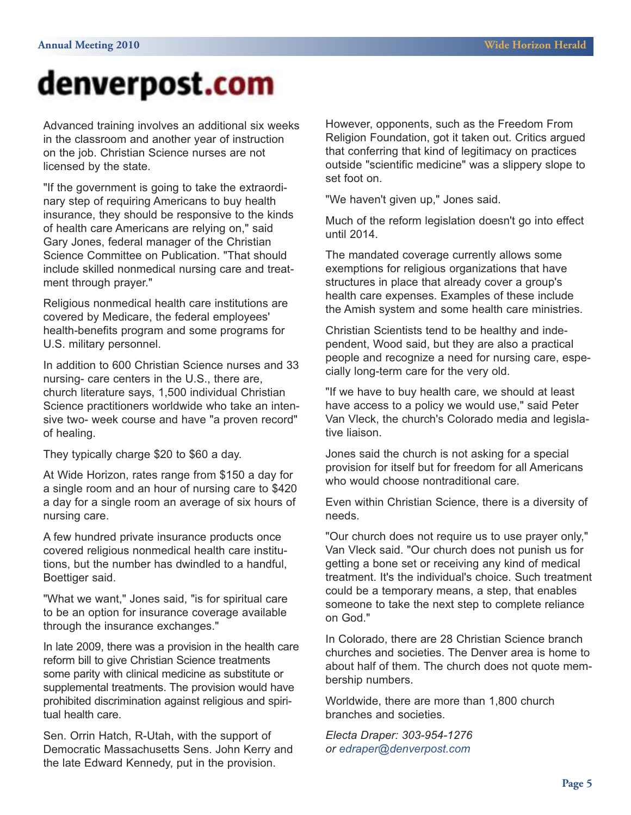# denverpost.com

Advanced training involves an additional six weeks in the classroom and another year of instruction on the job. Christian Science nurses are not licensed by the state.

"If the government is going to take the extraordinary step of requiring Americans to buy health insurance, they should be responsive to the kinds of health care Americans are relying on," said Gary Jones, federal manager of the Christian Science Committee on Publication. "That should include skilled nonmedical nursing care and treatment through prayer."

Religious nonmedical health care institutions are covered by Medicare, the federal employees' health-benefits program and some programs for U.S. military personnel.

In addition to 600 Christian Science nurses and 33 nursing- care centers in the U.S., there are, church literature says, 1,500 individual Christian Science practitioners worldwide who take an intensive two- week course and have "a proven record" of healing.

They typically charge \$20 to \$60 a day.

At Wide Horizon, rates range from \$150 a day for a single room and an hour of nursing care to \$420 a day for a single room an average of six hours of nursing care.

A few hundred private insurance products once covered religious nonmedical health care institutions, but the number has dwindled to a handful, Boettiger said.

"What we want," Jones said, "is for spiritual care to be an option for insurance coverage available through the insurance exchanges."

In late 2009, there was a provision in the health care reform bill to give Christian Science treatments some parity with clinical medicine as substitute or supplemental treatments. The provision would have prohibited discrimination against religious and spiritual health care.

Sen. Orrin Hatch, R-Utah, with the support of Democratic Massachusetts Sens. John Kerry and the late Edward Kennedy, put in the provision.

However, opponents, such as the Freedom From Religion Foundation, got it taken out. Critics argued that conferring that kind of legitimacy on practices outside "scientific medicine" was a slippery slope to set foot on.

"We haven't given up," Jones said.

Much of the reform legislation doesn't go into effect until 2014.

The mandated coverage currently allows some exemptions for religious organizations that have structures in place that already cover a group's health care expenses. Examples of these include the Amish system and some health care ministries.

Christian Scientists tend to be healthy and independent, Wood said, but they are also a practical people and recognize a need for nursing care, especially long-term care for the very old.

"If we have to buy health care, we should at least have access to a policy we would use," said Peter Van Vleck, the church's Colorado media and legislative liaison.

Jones said the church is not asking for a special provision for itself but for freedom for all Americans who would choose nontraditional care.

Even within Christian Science, there is a diversity of needs.

"Our church does not require us to use prayer only," Van Vleck said. "Our church does not punish us for getting a bone set or receiving any kind of medical treatment. It's the individual's choice. Such treatment could be a temporary means, a step, that enables someone to take the next step to complete reliance on God."

In Colorado, there are 28 Christian Science branch churches and societies. The Denver area is home to about half of them. The church does not quote membership numbers.

Worldwide, there are more than 1,800 church branches and societies.

*Electa Draper: 303-954-1276 or edraper@denverpost.com*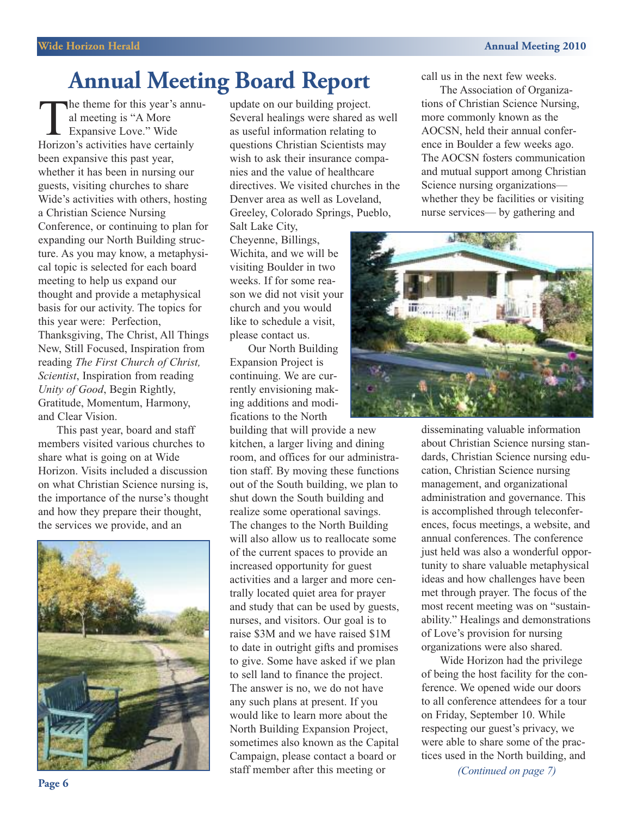## **Annual Meeting Board Report**

The theme for this year's annual meeting is "A More Expansive Love." Wide Horizon's activities have certainly been expansive this past year, whether it has been in nursing our guests, visiting churches to share Wide's activities with others, hosting a Christian Science Nursing Conference, or continuing to plan for expanding our North Building structure. As you may know, a metaphysical topic is selected for each board meeting to help us expand our thought and provide a metaphysical basis for our activity. The topics for this year were: Perfection, Thanksgiving, The Christ, All Things New, Still Focused, Inspiration from reading *The First Church of Christ, Scientist*, Inspiration from reading *Unity of Good*, Begin Rightly, Gratitude, Momentum, Harmony, and Clear Vision.

This past year, board and staff members visited various churches to share what is going on at Wide Horizon. Visits included a discussion on what Christian Science nursing is, the importance of the nurse's thought and how they prepare their thought, the services we provide, and an



update on our building project. Several healings were shared as well as useful information relating to questions Christian Scientists may wish to ask their insurance companies and the value of healthcare directives. We visited churches in the Denver area as well as Loveland, Greeley, Colorado Springs, Pueblo,

Salt Lake City, Cheyenne, Billings, Wichita, and we will be visiting Boulder in two weeks. If for some reason we did not visit your church and you would like to schedule a visit, please contact us.

Our North Building Expansion Project is continuing. We are currently envisioning making additions and modifications to the North

building that will provide a new kitchen, a larger living and dining room, and offices for our administration staff. By moving these functions out of the South building, we plan to shut down the South building and realize some operational savings. The changes to the North Building will also allow us to reallocate some of the current spaces to provide an increased opportunity for guest activities and a larger and more centrally located quiet area for prayer and study that can be used by guests, nurses, and visitors. Our goal is to raise \$3M and we have raised \$1M to date in outright gifts and promises to give. Some have asked if we plan to sell land to finance the project. The answer is no, we do not have any such plans at present. If you would like to learn more about the North Building Expansion Project, sometimes also known as the Capital Campaign, please contact a board or staff member after this meeting or

call us in the next few weeks.

The Association of Organizations of Christian Science Nursing, more commonly known as the AOCSN, held their annual conference in Boulder a few weeks ago. The AOCSN fosters communication and mutual support among Christian Science nursing organizations whether they be facilities or visiting nurse services— by gathering and



disseminating valuable information about Christian Science nursing standards, Christian Science nursing education, Christian Science nursing management, and organizational administration and governance. This is accomplished through teleconferences, focus meetings, a website, and annual conferences. The conference just held was also a wonderful opportunity to share valuable metaphysical ideas and how challenges have been met through prayer. The focus of the most recent meeting was on "sustainability." Healings and demonstrations of Love's provision for nursing organizations were also shared.

Wide Horizon had the privilege of being the host facility for the conference. We opened wide our doors to all conference attendees for a tour on Friday, September 10. While respecting our guest's privacy, we were able to share some of the practices used in the North building, and

*(Continued on page 7)*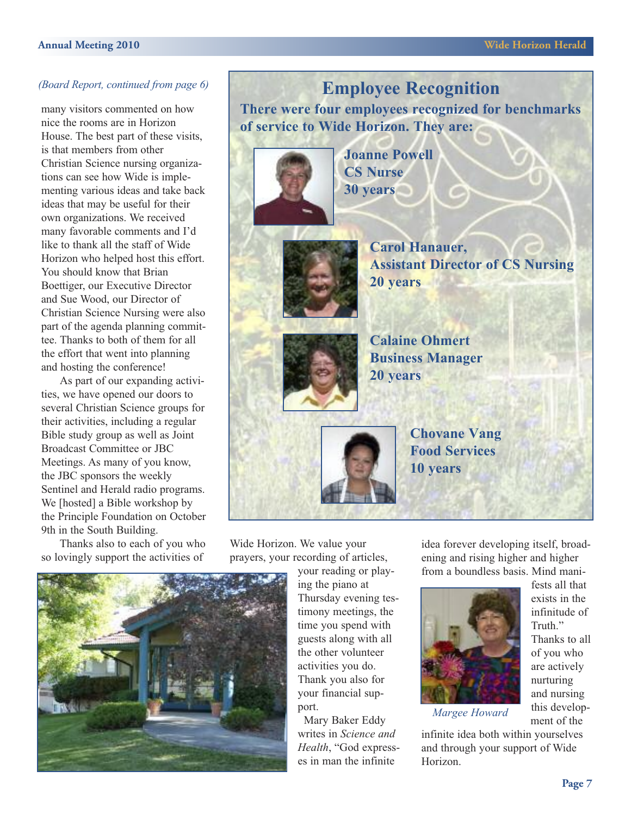many visitors commented on how nice the rooms are in Horizon House. The best part of these visits, is that members from other Christian Science nursing organizations can see how Wide is implementing various ideas and take back ideas that may be useful for their own organizations. We received many favorable comments and I'd like to thank all the staff of Wide Horizon who helped host this effort. You should know that Brian Boettiger, our Executive Director and Sue Wood, our Director of Christian Science Nursing were also part of the agenda planning committee. Thanks to both of them for all the effort that went into planning and hosting the conference!

As part of our expanding activities, we have opened our doors to several Christian Science groups for their activities, including a regular Bible study group as well as Joint Broadcast Committee or JBC Meetings. As many of you know, the JBC sponsors the weekly Sentinel and Herald radio programs. We [hosted] a Bible workshop by the Principle Foundation on October 9th in the South Building.

Thanks also to each of you who so lovingly support the activities of



**There were four employees recognized for benchmarks of service to Wide Horizon. They are:**





**Carol Hanauer, Assistant Director of CS Nursing 20 years**

**Calaine Ohmert Business Manager 20 years**

> **Chovane Vang Food Services 10 years**

Wide Horizon. We value your prayers, your recording of articles,

> your reading or playing the piano at Thursday evening testimony meetings, the time you spend with guests along with all the other volunteer activities you do. Thank you also for your financial support.

Mary Baker Eddy writes in *Science and Health*, "God expresses in man the infinite

idea forever developing itself, broadening and rising higher and higher from a boundless basis. Mind mani-



fests all that exists in the infinitude of Truth<sup>"</sup> Thanks to all of you who are actively nurturing and nursing this development of the

*Margee Howard*

infinite idea both within yourselves and through your support of Wide Horizon.